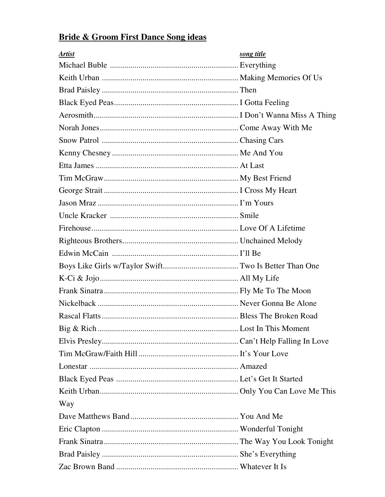## **Bride & Groom First Dance Song ideas**

| <b>Artist</b> | song title |
|---------------|------------|
|               |            |
|               |            |
|               |            |
|               |            |
|               |            |
|               |            |
|               |            |
|               |            |
|               |            |
|               |            |
|               |            |
|               |            |
|               |            |
|               |            |
|               |            |
|               |            |
|               |            |
|               |            |
|               |            |
|               |            |
|               |            |
|               |            |
|               |            |
|               |            |
|               |            |
|               |            |
|               |            |
| Way           |            |
|               |            |
|               |            |
|               |            |
|               |            |
|               |            |